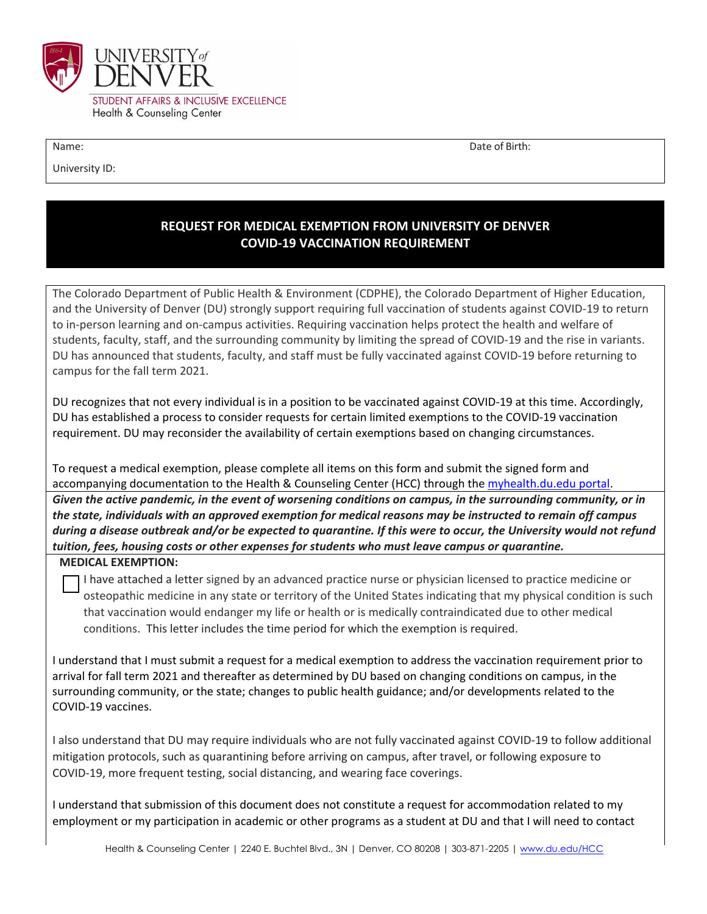

University ID:

Name: Date of Birth:  $\Box$ 

## **REQUEST FOR MEDICAL EXEMPTION FROM UNIVERSITY OF DENVER COVID-19 VACCINATION REQUIREMENT**

The Colorado Department of Public Health & Environment (CDPHE), the Colorado Department of Higher Education, and the University of Denver (DU) strongly support requiring full vaccination of students against COVID-19 to return to in-person learning and on-campus activities. Requiring vaccination helps protect the health and welfare of students, faculty, staff, and the surrounding community by limiting the spread of COVID-19 and the rise in variants. DU has announced that students, faculty, and staff must be fully vaccinated against COVID-19 before returning to campus for the fall term 2021.

DU recognizes that not every individual is in a position to be vaccinated against COVID-19 at this time. Accordingly, DU has established a process to consider requests for certain limited exemptions to the COVID-19 vaccination requirement. DU may reconsider the availability of certain exemptions based on changing circumstances.

To request a medical exemption, please complete all items on this form and submit the signed form and accompanying documentation to the Health & Counseling Center (HCC) through th[e myhealth.du.edu portal.](https://myhealth.du.edu/login_directory.aspx) *Given the active pandemic, in the event of worsening conditions on campus, in the surrounding community, or in the state, individuals with an approved exemption for medical reasons may be instructed to remain off campus during a disease outbreak and/or be expected to quarantine. If this were to occur, the University would not refund tuition, fees, housing costs or other expenses for students who must leave campus or quarantine.*

## **MEDICAL EXEMPTION:**

 I have attached a letter signed by an advanced practice nurse or physician licensed to practice medicine or osteopathic medicine in any state or territory of the United States indicating that my physical condition is such that vaccination would endanger my life or health or is medically contraindicated due to other medical conditions. This letter includes the time period for which the exemption is required.

I understand that I must submit a request for a medical exemption to address the vaccination requirement prior to arrival for fall term 2021 and thereafter as determined by DU based on changing conditions on campus, in the surrounding community, or the state; changes to public health guidance; and/or developments related to the COVID-19 vaccines.

I also understand that DU may require individuals who are not fully vaccinated against COVID-19 to follow additional mitigation protocols, such as quarantining before arriving on campus, after travel, or following exposure to COVID-19, more frequent testing, social distancing, and wearing face coverings.

I understand that submission of this document does not constitute a request for accommodation related to my employment or my participation in academic or other programs as a student at DU and that I will need to contact